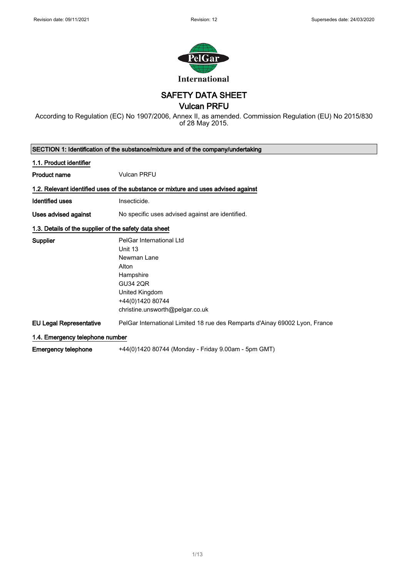

SAFETY DATA SHEET

### Vulcan PRFU

According to Regulation (EC) No 1907/2006, Annex II, as amended. Commission Regulation (EU) No 2015/830 of 28 May 2015.

|                                                       | SECTION 1: Identification of the substance/mixture and of the company/undertaking  |
|-------------------------------------------------------|------------------------------------------------------------------------------------|
| 1.1. Product identifier                               |                                                                                    |
| <b>Product name</b>                                   | <b>Vulcan PRFU</b>                                                                 |
|                                                       | 1.2. Relevant identified uses of the substance or mixture and uses advised against |
| Identified uses                                       | Insecticide.                                                                       |
| Uses advised against                                  | No specific uses advised against are identified.                                   |
| 1.3. Details of the supplier of the safety data sheet |                                                                                    |
| <b>Supplier</b>                                       | PelGar International Ltd                                                           |
|                                                       | Unit 13                                                                            |
|                                                       | Newman Lane                                                                        |
|                                                       | Alton                                                                              |
|                                                       | Hampshire                                                                          |
|                                                       | <b>GU34 2QR</b>                                                                    |
|                                                       | United Kingdom                                                                     |
|                                                       | +44(0)1420 80744                                                                   |
|                                                       | christine.unsworth@pelgar.co.uk                                                    |
| <b>EU Legal Representative</b>                        | PelGar International Limited 18 rue des Remparts d'Ainay 69002 Lyon, France        |
| 1.4. Emergency telephone number                       |                                                                                    |
| <b>Emergency telephone</b>                            | +44(0)1420 80744 (Monday - Friday 9.00am - 5pm GMT)                                |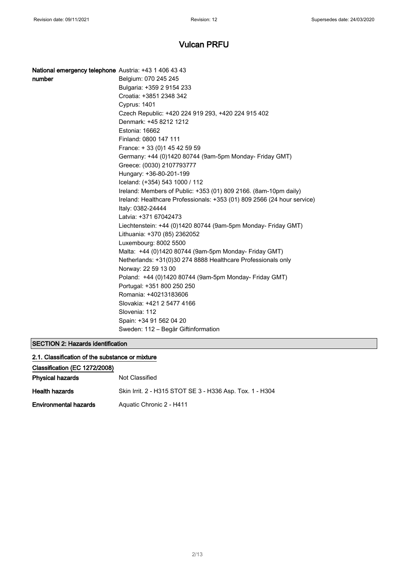| National emergency telephone Austria: +43 1 406 43 43 |                                                                                                                       |
|-------------------------------------------------------|-----------------------------------------------------------------------------------------------------------------------|
| number                                                | Belgium: 070 245 245                                                                                                  |
|                                                       | Bulgaria: +359 2 9154 233                                                                                             |
|                                                       | Croatia: +3851 2348 342                                                                                               |
|                                                       | Cyprus: 1401                                                                                                          |
|                                                       | Czech Republic: +420 224 919 293, +420 224 915 402                                                                    |
|                                                       | Denmark: +45 8212 1212                                                                                                |
|                                                       | Estonia: 16662                                                                                                        |
|                                                       | Finland: 0800 147 111                                                                                                 |
|                                                       | France: +33 (0) 145 42 59 59                                                                                          |
|                                                       | Germany: +44 (0)1420 80744 (9am-5pm Monday- Friday GMT)                                                               |
|                                                       | Greece: (0030) 2107793777                                                                                             |
|                                                       | Hungary: +36-80-201-199                                                                                               |
|                                                       | Iceland: (+354) 543 1000 / 112                                                                                        |
|                                                       | Ireland: Members of Public: +353 (01) 809 2166. (8am-10pm daily)                                                      |
|                                                       | Ireland: Healthcare Professionals: +353 (01) 809 2566 (24 hour service)<br>Italy: 0382-24444                          |
|                                                       | Latvia: +371 67042473                                                                                                 |
|                                                       | Liechtenstein: +44 (0)1420 80744 (9am-5pm Monday- Friday GMT)                                                         |
|                                                       | Lithuania: +370 (85) 2362052                                                                                          |
|                                                       | Luxembourg: 8002 5500                                                                                                 |
|                                                       | Malta: +44 (0)1420 80744 (9am-5pm Monday- Friday GMT)<br>Netherlands: +31(0)30 274 8888 Healthcare Professionals only |
|                                                       | Norway: 22 59 13 00                                                                                                   |
|                                                       | Poland: +44 (0)1420 80744 (9am-5pm Monday- Friday GMT)                                                                |
|                                                       | Portugal: +351 800 250 250                                                                                            |
|                                                       | Romania: +40213183606                                                                                                 |
|                                                       | Slovakia: +421 2 5477 4166                                                                                            |
|                                                       | Slovenia: 112                                                                                                         |
|                                                       | Spain: +34 91 562 04 20                                                                                               |
|                                                       | Sweden: 112 – Begär Giftinformation                                                                                   |
|                                                       |                                                                                                                       |

### SECTION 2: Hazards identification

| 2.1. Classification of the substance or mixture |                                                          |
|-------------------------------------------------|----------------------------------------------------------|
| Classification (EC 1272/2008)                   |                                                          |
| <b>Physical hazards</b>                         | Not Classified                                           |
| <b>Health hazards</b>                           | Skin Irrit. 2 - H315 STOT SE 3 - H336 Asp. Tox. 1 - H304 |
| <b>Environmental hazards</b>                    | Aquatic Chronic 2 - H411                                 |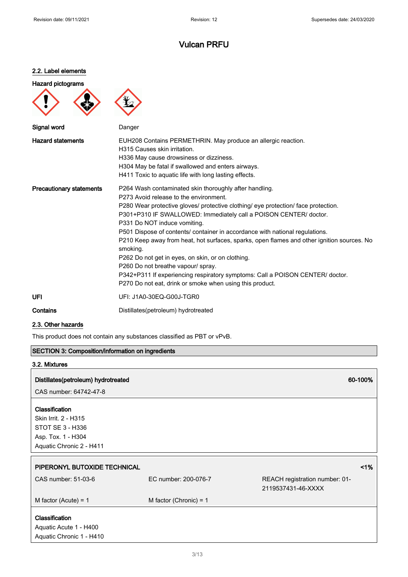#### 2.2. Label elements

### Hazard pictograms





| Signal word                     | Danger                                                                                                                                                                                                                                                                                                                                                                                                                                                                                                                                                                                                                                                                                                                        |
|---------------------------------|-------------------------------------------------------------------------------------------------------------------------------------------------------------------------------------------------------------------------------------------------------------------------------------------------------------------------------------------------------------------------------------------------------------------------------------------------------------------------------------------------------------------------------------------------------------------------------------------------------------------------------------------------------------------------------------------------------------------------------|
| <b>Hazard statements</b>        | EUH208 Contains PERMETHRIN. May produce an allergic reaction.<br>H315 Causes skin irritation.<br>H336 May cause drowsiness or dizziness.<br>H304 May be fatal if swallowed and enters airways.<br>H411 Toxic to aquatic life with long lasting effects.                                                                                                                                                                                                                                                                                                                                                                                                                                                                       |
| <b>Precautionary statements</b> | P264 Wash contaminated skin thoroughly after handling.<br>P273 Avoid release to the environment.<br>P280 Wear protective gloves/ protective clothing/ eye protection/ face protection.<br>P301+P310 IF SWALLOWED: Immediately call a POISON CENTER/ doctor.<br>P331 Do NOT induce vomiting.<br>P501 Dispose of contents/ container in accordance with national regulations.<br>P210 Keep away from heat, hot surfaces, sparks, open flames and other ignition sources. No<br>smoking.<br>P262 Do not get in eyes, on skin, or on clothing.<br>P260 Do not breathe vapour/ spray.<br>P342+P311 If experiencing respiratory symptoms: Call a POISON CENTER/ doctor.<br>P270 Do not eat, drink or smoke when using this product. |
| UFI                             | UFI: J1A0-30EQ-G00J-TGR0                                                                                                                                                                                                                                                                                                                                                                                                                                                                                                                                                                                                                                                                                                      |

Contains Distillates(petroleum) hydrotreated

### 2.3. Other hazards

This product does not contain any substances classified as PBT or vPvB.

### SECTION 3: Composition/information on ingredients

### 3.2. Mixtures

### Distillates(petroleum) hydrotreated 60-100%

CAS number: 64742-47-8

### Classification

Skin Irrit. 2 - H315 STOT SE 3 - H336 Asp. Tox. 1 - H304 Aquatic Chronic 2 - H411

| PIPERONYL BUTOXIDE TECHNICAL                       |                          |                                                      | $1\%$ |
|----------------------------------------------------|--------------------------|------------------------------------------------------|-------|
| CAS number: 51-03-6                                | EC number: 200-076-7     | REACH registration number: 01-<br>2119537431-46-XXXX |       |
| M factor (Acute) = $1$                             | M factor (Chronic) = $1$ |                                                      |       |
| <b>Classification</b>                              |                          |                                                      |       |
|                                                    |                          |                                                      |       |
| Aquatic Acute 1 - H400<br>Aquatic Chronic 1 - H410 |                          |                                                      |       |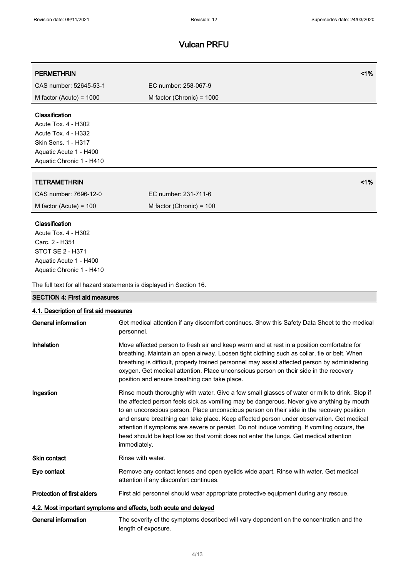| <b>PERMETHRIN</b>                                                   | $1\%$                                                                                                       |
|---------------------------------------------------------------------|-------------------------------------------------------------------------------------------------------------|
| CAS number: 52645-53-1                                              | EC number: 258-067-9                                                                                        |
| M factor (Acute) = $1000$                                           | M factor (Chronic) = $1000$                                                                                 |
| Classification                                                      |                                                                                                             |
| Acute Tox. 4 - H302                                                 |                                                                                                             |
| Acute Tox. 4 - H332<br>Skin Sens. 1 - H317                          |                                                                                                             |
| Aquatic Acute 1 - H400                                              |                                                                                                             |
| Aquatic Chronic 1 - H410                                            |                                                                                                             |
|                                                                     |                                                                                                             |
| <b>TETRAMETHRIN</b>                                                 | 1%                                                                                                          |
| CAS number: 7696-12-0                                               | EC number: 231-711-6                                                                                        |
| M factor (Acute) = $100$                                            | M factor (Chronic) = 100                                                                                    |
| Classification                                                      |                                                                                                             |
| Acute Tox. 4 - H302                                                 |                                                                                                             |
| Carc. 2 - H351                                                      |                                                                                                             |
| <b>STOT SE 2 - H371</b>                                             |                                                                                                             |
| Aquatic Acute 1 - H400                                              |                                                                                                             |
| Aquatic Chronic 1 - H410                                            |                                                                                                             |
| The full text for all hazard statements is displayed in Section 16. |                                                                                                             |
| <b>SECTION 4: First aid measures</b>                                |                                                                                                             |
| 4.1. Description of first aid measures                              |                                                                                                             |
| <b>General information</b>                                          | Get medical attention if any discomfort continues. Show this Safety Data Sheet to the medical<br>personnel. |

Inhalation **Move affected person to fresh air and keep warm and at rest in a position comfortable for** breathing. Maintain an open airway. Loosen tight clothing such as collar, tie or belt. When breathing is difficult, properly trained personnel may assist affected person by administering oxygen. Get medical attention. Place unconscious person on their side in the recovery position and ensure breathing can take place.

Ingestion Rinse mouth thoroughly with water. Give a few small glasses of water or milk to drink. Stop if the affected person feels sick as vomiting may be dangerous. Never give anything by mouth to an unconscious person. Place unconscious person on their side in the recovery position and ensure breathing can take place. Keep affected person under observation. Get medical attention if symptoms are severe or persist. Do not induce vomiting. If vomiting occurs, the head should be kept low so that vomit does not enter the lungs. Get medical attention immediately.

Skin contact Rinse with water.

Eye contact **Remove any contact lenses and open eyelids wide apart.** Rinse with water. Get medical attention if any discomfort continues.

Protection of first aiders First aid personnel should wear appropriate protective equipment during any rescue.

#### 4.2. Most important symptoms and effects, both acute and delayed

General information The severity of the symptoms described will vary dependent on the concentration and the length of exposure.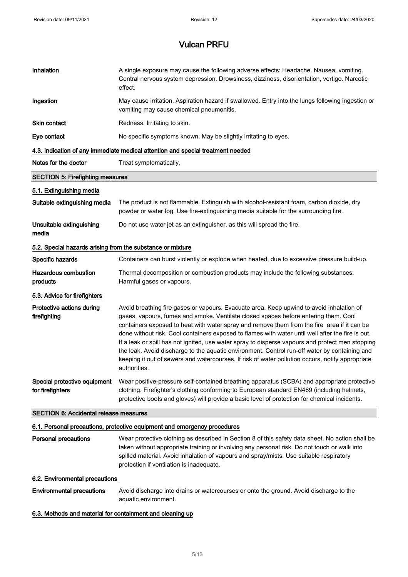| Inhalation                                                 | A single exposure may cause the following adverse effects: Headache. Nausea, vomiting.<br>Central nervous system depression. Drowsiness, dizziness, disorientation, vertigo. Narcotic<br>effect.                                                                                                                                                                                                                                                                                                                                                                                                                                                                                                             |  |
|------------------------------------------------------------|--------------------------------------------------------------------------------------------------------------------------------------------------------------------------------------------------------------------------------------------------------------------------------------------------------------------------------------------------------------------------------------------------------------------------------------------------------------------------------------------------------------------------------------------------------------------------------------------------------------------------------------------------------------------------------------------------------------|--|
| Ingestion                                                  | May cause irritation. Aspiration hazard if swallowed. Entry into the lungs following ingestion or<br>vomiting may cause chemical pneumonitis.                                                                                                                                                                                                                                                                                                                                                                                                                                                                                                                                                                |  |
| Skin contact                                               | Redness. Irritating to skin.                                                                                                                                                                                                                                                                                                                                                                                                                                                                                                                                                                                                                                                                                 |  |
| Eye contact                                                | No specific symptoms known. May be slightly irritating to eyes.                                                                                                                                                                                                                                                                                                                                                                                                                                                                                                                                                                                                                                              |  |
|                                                            | 4.3. Indication of any immediate medical attention and special treatment needed                                                                                                                                                                                                                                                                                                                                                                                                                                                                                                                                                                                                                              |  |
| Notes for the doctor                                       | Treat symptomatically.                                                                                                                                                                                                                                                                                                                                                                                                                                                                                                                                                                                                                                                                                       |  |
| <b>SECTION 5: Firefighting measures</b>                    |                                                                                                                                                                                                                                                                                                                                                                                                                                                                                                                                                                                                                                                                                                              |  |
| 5.1. Extinguishing media                                   |                                                                                                                                                                                                                                                                                                                                                                                                                                                                                                                                                                                                                                                                                                              |  |
| Suitable extinguishing media                               | The product is not flammable. Extinguish with alcohol-resistant foam, carbon dioxide, dry<br>powder or water fog. Use fire-extinguishing media suitable for the surrounding fire.                                                                                                                                                                                                                                                                                                                                                                                                                                                                                                                            |  |
| Unsuitable extinguishing<br>media                          | Do not use water jet as an extinguisher, as this will spread the fire.                                                                                                                                                                                                                                                                                                                                                                                                                                                                                                                                                                                                                                       |  |
| 5.2. Special hazards arising from the substance or mixture |                                                                                                                                                                                                                                                                                                                                                                                                                                                                                                                                                                                                                                                                                                              |  |
| Specific hazards                                           | Containers can burst violently or explode when heated, due to excessive pressure build-up.                                                                                                                                                                                                                                                                                                                                                                                                                                                                                                                                                                                                                   |  |
| <b>Hazardous combustion</b><br>products                    | Thermal decomposition or combustion products may include the following substances:<br>Harmful gases or vapours.                                                                                                                                                                                                                                                                                                                                                                                                                                                                                                                                                                                              |  |
| 5.3. Advice for firefighters                               |                                                                                                                                                                                                                                                                                                                                                                                                                                                                                                                                                                                                                                                                                                              |  |
| Protective actions during<br>firefighting                  | Avoid breathing fire gases or vapours. Evacuate area. Keep upwind to avoid inhalation of<br>gases, vapours, fumes and smoke. Ventilate closed spaces before entering them. Cool<br>containers exposed to heat with water spray and remove them from the fire area if it can be<br>done without risk. Cool containers exposed to flames with water until well after the fire is out.<br>If a leak or spill has not ignited, use water spray to disperse vapours and protect men stopping<br>the leak. Avoid discharge to the aquatic environment. Control run-off water by containing and<br>keeping it out of sewers and watercourses. If risk of water pollution occurs, notify appropriate<br>authorities. |  |
| Special protective equipment<br>for firefighters           | Wear positive-pressure self-contained breathing apparatus (SCBA) and appropriate protective<br>clothing. Firefighter's clothing conforming to European standard EN469 (including helmets,<br>protective boots and gloves) will provide a basic level of protection for chemical incidents.                                                                                                                                                                                                                                                                                                                                                                                                                   |  |
| <b>SECTION 6: Accidental release measures</b>              |                                                                                                                                                                                                                                                                                                                                                                                                                                                                                                                                                                                                                                                                                                              |  |
|                                                            | 6.1. Personal precautions, protective equipment and emergency procedures                                                                                                                                                                                                                                                                                                                                                                                                                                                                                                                                                                                                                                     |  |
| <b>Personal precautions</b>                                | Wear protective clothing as described in Section 8 of this safety data sheet. No action shall be<br>taken without appropriate training or involving any personal risk. Do not touch or walk into<br>spilled material. Avoid inhalation of vapours and spray/mists. Use suitable respiratory<br>protection if ventilation is inadequate.                                                                                                                                                                                                                                                                                                                                                                      |  |
| 6.2. Environmental precautions                             |                                                                                                                                                                                                                                                                                                                                                                                                                                                                                                                                                                                                                                                                                                              |  |
| <b>Environmental precautions</b>                           | Avoid discharge into drains or watercourses or onto the ground. Avoid discharge to the<br>aquatic environment.                                                                                                                                                                                                                                                                                                                                                                                                                                                                                                                                                                                               |  |

### 6.3. Methods and material for containment and cleaning up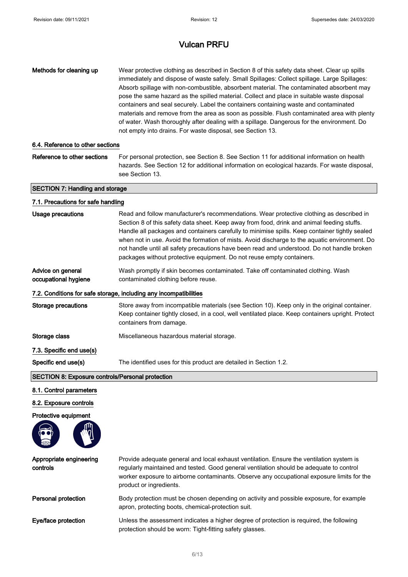| Methods for cleaning up<br>6.4. Reference to other sections | Wear protective clothing as described in Section 8 of this safety data sheet. Clear up spills<br>immediately and dispose of waste safely. Small Spillages: Collect spillage. Large Spillages:<br>Absorb spillage with non-combustible, absorbent material. The contaminated absorbent may<br>pose the same hazard as the spilled material. Collect and place in suitable waste disposal<br>containers and seal securely. Label the containers containing waste and contaminated<br>materials and remove from the area as soon as possible. Flush contaminated area with plenty<br>of water. Wash thoroughly after dealing with a spillage. Dangerous for the environment. Do<br>not empty into drains. For waste disposal, see Section 13. |
|-------------------------------------------------------------|--------------------------------------------------------------------------------------------------------------------------------------------------------------------------------------------------------------------------------------------------------------------------------------------------------------------------------------------------------------------------------------------------------------------------------------------------------------------------------------------------------------------------------------------------------------------------------------------------------------------------------------------------------------------------------------------------------------------------------------------|
| Reference to other sections                                 | For personal protection, see Section 8. See Section 11 for additional information on health<br>hazards. See Section 12 for additional information on ecological hazards. For waste disposal,<br>see Section 13.                                                                                                                                                                                                                                                                                                                                                                                                                                                                                                                            |
| <b>SECTION 7: Handling and storage</b>                      |                                                                                                                                                                                                                                                                                                                                                                                                                                                                                                                                                                                                                                                                                                                                            |
| 7.1. Precautions for safe handling                          |                                                                                                                                                                                                                                                                                                                                                                                                                                                                                                                                                                                                                                                                                                                                            |
| <b>Usage precautions</b>                                    | Read and follow manufacturer's recommendations. Wear protective clothing as described in<br>Section 8 of this safety data sheet. Keep away from food, drink and animal feeding stuffs.<br>Handle all packages and containers carefully to minimise spills. Keep container tightly sealed<br>when not in use. Avoid the formation of mists. Avoid discharge to the aquatic environment. Do<br>not handle until all safety precautions have been read and understood. Do not handle broken<br>packages without protective equipment. Do not reuse empty containers.                                                                                                                                                                          |
| Advice on general<br>occupational hygiene                   | Wash promptly if skin becomes contaminated. Take off contaminated clothing. Wash<br>contaminated clothing before reuse.                                                                                                                                                                                                                                                                                                                                                                                                                                                                                                                                                                                                                    |
|                                                             | 7.2. Conditions for safe storage, including any incompatibilities                                                                                                                                                                                                                                                                                                                                                                                                                                                                                                                                                                                                                                                                          |
| Storage precautions                                         | Store away from incompatible materials (see Section 10). Keep only in the original container.<br>Keep container tightly closed, in a cool, well ventilated place. Keep containers upright. Protect<br>containers from damage.                                                                                                                                                                                                                                                                                                                                                                                                                                                                                                              |
| Storage class                                               | Miscellaneous hazardous material storage.                                                                                                                                                                                                                                                                                                                                                                                                                                                                                                                                                                                                                                                                                                  |
| 7.3. Specific end use(s)                                    |                                                                                                                                                                                                                                                                                                                                                                                                                                                                                                                                                                                                                                                                                                                                            |
| Specific end use(s)                                         | The identified uses for this product are detailed in Section 1.2.                                                                                                                                                                                                                                                                                                                                                                                                                                                                                                                                                                                                                                                                          |
| SECTION 8: Exposure controls/Personal protection            |                                                                                                                                                                                                                                                                                                                                                                                                                                                                                                                                                                                                                                                                                                                                            |
| 8.1. Control parameters                                     |                                                                                                                                                                                                                                                                                                                                                                                                                                                                                                                                                                                                                                                                                                                                            |
| 8.2. Exposure controls                                      |                                                                                                                                                                                                                                                                                                                                                                                                                                                                                                                                                                                                                                                                                                                                            |
| Protective equipment                                        |                                                                                                                                                                                                                                                                                                                                                                                                                                                                                                                                                                                                                                                                                                                                            |
| Appropriate engineering<br>controls                         | Provide adequate general and local exhaust ventilation. Ensure the ventilation system is<br>regularly maintained and tested. Good general ventilation should be adequate to control<br>worker exposure to airborne contaminants. Observe any occupational exposure limits for the<br>product or ingredients.                                                                                                                                                                                                                                                                                                                                                                                                                               |
| Personal protection                                         | Body protection must be chosen depending on activity and possible exposure, for example<br>apron, protecting boots, chemical-protection suit.                                                                                                                                                                                                                                                                                                                                                                                                                                                                                                                                                                                              |
| Eye/face protection                                         | Unless the assessment indicates a higher degree of protection is required, the following<br>protection should be worn: Tight-fitting safety glasses.                                                                                                                                                                                                                                                                                                                                                                                                                                                                                                                                                                                       |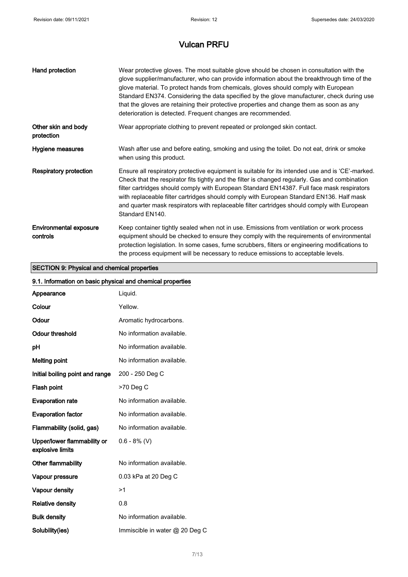| Hand protection                           | Wear protective gloves. The most suitable glove should be chosen in consultation with the<br>glove supplier/manufacturer, who can provide information about the breakthrough time of the<br>glove material. To protect hands from chemicals, gloves should comply with European<br>Standard EN374. Considering the data specified by the glove manufacturer, check during use<br>that the gloves are retaining their protective properties and change them as soon as any<br>deterioration is detected. Frequent changes are recommended. |
|-------------------------------------------|-------------------------------------------------------------------------------------------------------------------------------------------------------------------------------------------------------------------------------------------------------------------------------------------------------------------------------------------------------------------------------------------------------------------------------------------------------------------------------------------------------------------------------------------|
| Other skin and body<br>protection         | Wear appropriate clothing to prevent repeated or prolonged skin contact.                                                                                                                                                                                                                                                                                                                                                                                                                                                                  |
| Hygiene measures                          | Wash after use and before eating, smoking and using the toilet. Do not eat, drink or smoke<br>when using this product.                                                                                                                                                                                                                                                                                                                                                                                                                    |
| <b>Respiratory protection</b>             | Ensure all respiratory protective equipment is suitable for its intended use and is 'CE'-marked.<br>Check that the respirator fits tightly and the filter is changed regularly. Gas and combination<br>filter cartridges should comply with European Standard EN14387. Full face mask respirators<br>with replaceable filter cartridges should comply with European Standard EN136. Half mask<br>and quarter mask respirators with replaceable filter cartridges should comply with European<br>Standard EN140.                           |
| <b>Environmental exposure</b><br>controls | Keep container tightly sealed when not in use. Emissions from ventilation or work process<br>equipment should be checked to ensure they comply with the requirements of environmental<br>protection legislation. In some cases, fume scrubbers, filters or engineering modifications to<br>the process equipment will be necessary to reduce emissions to acceptable levels.                                                                                                                                                              |

### SECTION 9: Physical and chemical properties

### 9.1. Information on basic physical and chemical properties

| Appearance                                      | Liquid.                        |
|-------------------------------------------------|--------------------------------|
| Colour                                          | Yellow.                        |
| Odour                                           | Aromatic hydrocarbons.         |
| <b>Odour threshold</b>                          | No information available.      |
| pH                                              | No information available.      |
| <b>Melting point</b>                            | No information available.      |
| Initial boiling point and range                 | 200 - 250 Deg C                |
| Flash point                                     | >70 Deg C                      |
| <b>Evaporation rate</b>                         | No information available.      |
| <b>Evaporation factor</b>                       | No information available.      |
| Flammability (solid, gas)                       | No information available.      |
| Upper/lower flammability or<br>explosive limits | $0.6 - 8\%$ (V)                |
| Other flammability                              | No information available.      |
| Vapour pressure                                 | 0.03 kPa at 20 Deg C           |
| Vapour density                                  | >1                             |
| <b>Relative density</b>                         | 0.8                            |
| <b>Bulk density</b>                             | No information available.      |
| Solubility(ies)                                 | Immiscible in water @ 20 Deg C |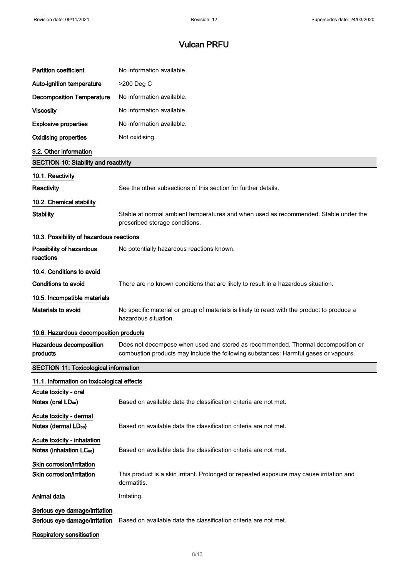| <b>Partition coefficient</b>                                        | No information available.                                                                                                                                               |
|---------------------------------------------------------------------|-------------------------------------------------------------------------------------------------------------------------------------------------------------------------|
| Auto-ignition temperature                                           | >200 Deg C                                                                                                                                                              |
| <b>Decomposition Temperature</b>                                    | No information available.                                                                                                                                               |
| <b>Viscosity</b>                                                    | No information available.                                                                                                                                               |
| <b>Explosive properties</b>                                         | No information available.                                                                                                                                               |
| <b>Oxidising properties</b>                                         | Not oxidising.                                                                                                                                                          |
| 9.2. Other information                                              |                                                                                                                                                                         |
| <b>SECTION 10: Stability and reactivity</b>                         |                                                                                                                                                                         |
| 10.1. Reactivity                                                    |                                                                                                                                                                         |
| Reactivity                                                          | See the other subsections of this section for further details.                                                                                                          |
| 10.2. Chemical stability                                            |                                                                                                                                                                         |
| <b>Stability</b>                                                    | Stable at normal ambient temperatures and when used as recommended. Stable under the<br>prescribed storage conditions.                                                  |
| 10.3. Possibility of hazardous reactions                            |                                                                                                                                                                         |
| Possibility of hazardous<br>reactions                               | No potentially hazardous reactions known.                                                                                                                               |
| 10.4. Conditions to avoid                                           |                                                                                                                                                                         |
| <b>Conditions to avoid</b>                                          | There are no known conditions that are likely to result in a hazardous situation.                                                                                       |
| 10.5. Incompatible materials                                        |                                                                                                                                                                         |
| Materials to avoid                                                  | No specific material or group of materials is likely to react with the product to produce a<br>hazardous situation.                                                     |
| 10.6. Hazardous decomposition products                              |                                                                                                                                                                         |
| Hazardous decomposition<br>products                                 | Does not decompose when used and stored as recommended. Thermal decomposition or<br>combustion products may include the following substances: Harmful gases or vapours. |
| <b>SECTION 11: Toxicological information</b>                        |                                                                                                                                                                         |
| 11.1. Information on toxicological effects                          |                                                                                                                                                                         |
| Acute toxicity - oral<br>Notes (oral LD <sub>50</sub> )             | Based on available data the classification criteria are not met.                                                                                                        |
| Acute toxicity - dermal<br>Notes (dermal LD <sub>50</sub> )         | Based on available data the classification criteria are not met.                                                                                                        |
| Acute toxicity - inhalation<br>Notes (inhalation LC <sub>50</sub> ) | Based on available data the classification criteria are not met.                                                                                                        |
| Skin corrosion/irritation<br>Skin corrosion/irritation              | This product is a skin irritant. Prolonged or repeated exposure may cause irritation and<br>dermatitis.                                                                 |
| Animal data                                                         | Irritating.                                                                                                                                                             |
| Serious eye damage/irritation<br>Serious eye damage/irritation      | Based on available data the classification criteria are not met.                                                                                                        |
| <b>Respiratory sensitisation</b>                                    |                                                                                                                                                                         |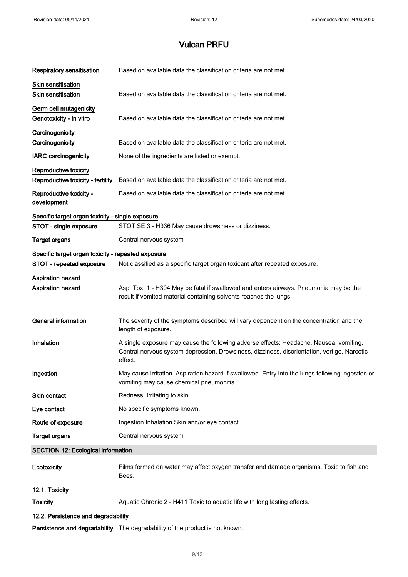| <b>Respiratory sensitisation</b>                           | Based on available data the classification criteria are not met.                                                                                                                                 |  |  |
|------------------------------------------------------------|--------------------------------------------------------------------------------------------------------------------------------------------------------------------------------------------------|--|--|
| Skin sensitisation<br><b>Skin sensitisation</b>            | Based on available data the classification criteria are not met.                                                                                                                                 |  |  |
| Germ cell mutagenicity<br>Genotoxicity - in vitro          | Based on available data the classification criteria are not met.                                                                                                                                 |  |  |
| Carcinogenicity<br>Carcinogenicity                         | Based on available data the classification criteria are not met.                                                                                                                                 |  |  |
| <b>IARC</b> carcinogenicity                                | None of the ingredients are listed or exempt.                                                                                                                                                    |  |  |
| Reproductive toxicity<br>Reproductive toxicity - fertility | Based on available data the classification criteria are not met.                                                                                                                                 |  |  |
| Reproductive toxicity -<br>development                     | Based on available data the classification criteria are not met.                                                                                                                                 |  |  |
| Specific target organ toxicity - single exposure           |                                                                                                                                                                                                  |  |  |
| STOT - single exposure                                     | STOT SE 3 - H336 May cause drowsiness or dizziness.                                                                                                                                              |  |  |
| <b>Target organs</b>                                       | Central nervous system                                                                                                                                                                           |  |  |
| Specific target organ toxicity - repeated exposure         |                                                                                                                                                                                                  |  |  |
| STOT - repeated exposure                                   | Not classified as a specific target organ toxicant after repeated exposure.                                                                                                                      |  |  |
| <b>Aspiration hazard</b>                                   |                                                                                                                                                                                                  |  |  |
| Aspiration hazard                                          | Asp. Tox. 1 - H304 May be fatal if swallowed and enters airways. Pneumonia may be the<br>result if vomited material containing solvents reaches the lungs.                                       |  |  |
| <b>General information</b>                                 | The severity of the symptoms described will vary dependent on the concentration and the<br>length of exposure.                                                                                   |  |  |
| Inhalation                                                 | A single exposure may cause the following adverse effects: Headache. Nausea, vomiting.<br>Central nervous system depression. Drowsiness, dizziness, disorientation, vertigo. Narcotic<br>effect. |  |  |
| Ingestion                                                  | May cause irritation. Aspiration hazard if swallowed. Entry into the lungs following ingestion or<br>vomiting may cause chemical pneumonitis.                                                    |  |  |
| <b>Skin contact</b>                                        | Redness. Irritating to skin.                                                                                                                                                                     |  |  |
| Eye contact                                                | No specific symptoms known.                                                                                                                                                                      |  |  |
| Route of exposure                                          | Ingestion Inhalation Skin and/or eye contact                                                                                                                                                     |  |  |
| <b>Target organs</b>                                       | Central nervous system                                                                                                                                                                           |  |  |
|                                                            | <b>SECTION 12: Ecological information</b>                                                                                                                                                        |  |  |
| Ecotoxicity                                                | Films formed on water may affect oxygen transfer and damage organisms. Toxic to fish and<br>Bees.                                                                                                |  |  |
| 12.1. Toxicity                                             |                                                                                                                                                                                                  |  |  |
| <b>Toxicity</b>                                            | Aquatic Chronic 2 - H411 Toxic to aquatic life with long lasting effects.                                                                                                                        |  |  |
| 12.2. Persistence and degradability                        |                                                                                                                                                                                                  |  |  |

Persistence and degradability The degradability of the product is not known.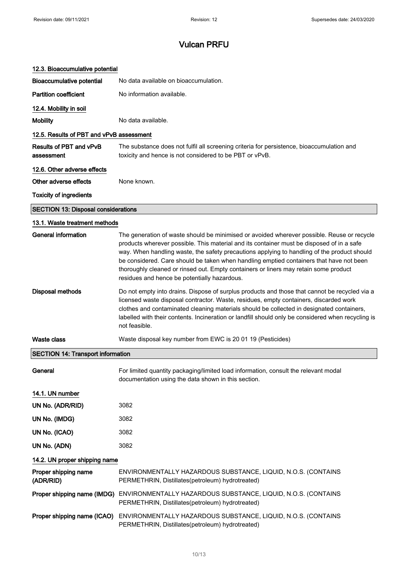| 12.3. Bioaccumulative potential            |                                                                                                                                                                                                                                                                                                                                                                                                                                                                                                                           |
|--------------------------------------------|---------------------------------------------------------------------------------------------------------------------------------------------------------------------------------------------------------------------------------------------------------------------------------------------------------------------------------------------------------------------------------------------------------------------------------------------------------------------------------------------------------------------------|
| <b>Bioaccumulative potential</b>           | No data available on bioaccumulation.                                                                                                                                                                                                                                                                                                                                                                                                                                                                                     |
| <b>Partition coefficient</b>               | No information available.                                                                                                                                                                                                                                                                                                                                                                                                                                                                                                 |
| 12.4. Mobility in soil                     |                                                                                                                                                                                                                                                                                                                                                                                                                                                                                                                           |
| <b>Mobility</b>                            | No data available.                                                                                                                                                                                                                                                                                                                                                                                                                                                                                                        |
| 12.5. Results of PBT and vPvB assessment   |                                                                                                                                                                                                                                                                                                                                                                                                                                                                                                                           |
| Results of PBT and vPvB<br>assessment      | The substance does not fulfil all screening criteria for persistence, bioaccumulation and<br>toxicity and hence is not considered to be PBT or vPvB.                                                                                                                                                                                                                                                                                                                                                                      |
| 12.6. Other adverse effects                |                                                                                                                                                                                                                                                                                                                                                                                                                                                                                                                           |
| Other adverse effects                      | None known.                                                                                                                                                                                                                                                                                                                                                                                                                                                                                                               |
| <b>Toxicity of ingredients</b>             |                                                                                                                                                                                                                                                                                                                                                                                                                                                                                                                           |
| <b>SECTION 13: Disposal considerations</b> |                                                                                                                                                                                                                                                                                                                                                                                                                                                                                                                           |
| 13.1. Waste treatment methods              |                                                                                                                                                                                                                                                                                                                                                                                                                                                                                                                           |
| General information                        | The generation of waste should be minimised or avoided wherever possible. Reuse or recycle<br>products wherever possible. This material and its container must be disposed of in a safe<br>way. When handling waste, the safety precautions applying to handling of the product should<br>be considered. Care should be taken when handling emptied containers that have not been<br>thoroughly cleaned or rinsed out. Empty containers or liners may retain some product<br>residues and hence be potentially hazardous. |
| Disposal methods                           | Do not empty into drains. Dispose of surplus products and those that cannot be recycled via a<br>licensed waste disposal contractor. Waste, residues, empty containers, discarded work<br>clothes and contaminated cleaning materials should be collected in designated containers,<br>labelled with their contents. Incineration or landfill should only be considered when recycling is<br>not feasible.                                                                                                                |
| Waste class                                | Waste disposal key number from EWC is 20 01 19 (Pesticides)                                                                                                                                                                                                                                                                                                                                                                                                                                                               |
| <b>SECTION 14: Transport information</b>   |                                                                                                                                                                                                                                                                                                                                                                                                                                                                                                                           |
| General                                    | For limited quantity packaging/limited load information, consult the relevant modal<br>documentation using the data shown in this section.                                                                                                                                                                                                                                                                                                                                                                                |
| 14.1. UN number                            |                                                                                                                                                                                                                                                                                                                                                                                                                                                                                                                           |
| UN No. (ADR/RID)                           | 3082                                                                                                                                                                                                                                                                                                                                                                                                                                                                                                                      |
| UN No. (IMDG)                              | 3082                                                                                                                                                                                                                                                                                                                                                                                                                                                                                                                      |
| UN No. (ICAO)                              | 3082                                                                                                                                                                                                                                                                                                                                                                                                                                                                                                                      |
| UN No. (ADN)                               | 3082                                                                                                                                                                                                                                                                                                                                                                                                                                                                                                                      |
| 14.2. UN proper shipping name              |                                                                                                                                                                                                                                                                                                                                                                                                                                                                                                                           |
| Proper shipping name<br>(ADR/RID)          | ENVIRONMENTALLY HAZARDOUS SUBSTANCE, LIQUID, N.O.S. (CONTAINS<br>PERMETHRIN, Distillates(petroleum) hydrotreated)                                                                                                                                                                                                                                                                                                                                                                                                         |
|                                            | Proper shipping name (IMDG) ENVIRONMENTALLY HAZARDOUS SUBSTANCE, LIQUID, N.O.S. (CONTAINS<br>PERMETHRIN, Distillates(petroleum) hydrotreated)                                                                                                                                                                                                                                                                                                                                                                             |
| Proper shipping name (ICAO)                | ENVIRONMENTALLY HAZARDOUS SUBSTANCE, LIQUID, N.O.S. (CONTAINS<br>PERMETHRIN, Distillates(petroleum) hydrotreated)                                                                                                                                                                                                                                                                                                                                                                                                         |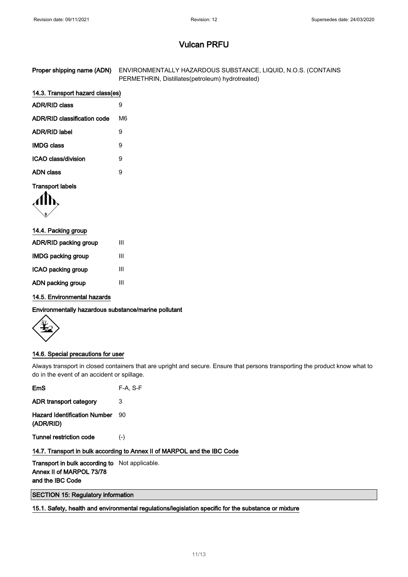| Proper shipping name (ADN) ENVIRONMENTALLY HAZARDOUS SUBSTANCE, LIQUID, N.O.S. (CONTAINS |
|------------------------------------------------------------------------------------------|
| PERMETHRIN, Distillates(petroleum) hydrotreated)                                         |

### 14.3. Transport hazard class(es)

| <b>ADR/RID class</b>        |    |
|-----------------------------|----|
| ADR/RID classification code | M6 |
| <b>ADR/RID label</b>        | 9  |
| <b>IMDG class</b>           | 9  |
| ICAO class/division         | 9  |
| ADN class                   | я  |

### Transport labels

$$
\langle \prod_{\mathfrak{p}}
$$

| 14.4. Packing group          |   |  |
|------------------------------|---|--|
| <b>ADR/RID packing group</b> | Ш |  |
| <b>IMDG packing group</b>    | Ш |  |
| ICAO packing group           | Ш |  |
| ADN packing group            | Ш |  |

14.5. Environmental hazards

Environmentally hazardous substance/marine pollutant

#### 14.6. Special precautions for user

Always transport in closed containers that are upright and secure. Ensure that persons transporting the product know what to do in the event of an accident or spillage.

| EmS                                                                               | $F-A. S-F$ |  |
|-----------------------------------------------------------------------------------|------------|--|
| ADR transport category                                                            | 3          |  |
| <b>Hazard Identification Number</b><br>(ADR/RID)                                  | 90         |  |
| <b>Tunnel restriction code</b>                                                    | $(-)$      |  |
| 14.7. Transport in bulk according to Annex II of MARPOL and the IBC Code          |            |  |
| <b>Transport in bulk according to</b> Not applicable.<br>Annex II of MARPOL 73/78 |            |  |

and the IBC Code

SECTION 15: Regulatory information

15.1. Safety, health and environmental regulations/legislation specific for the substance or mixture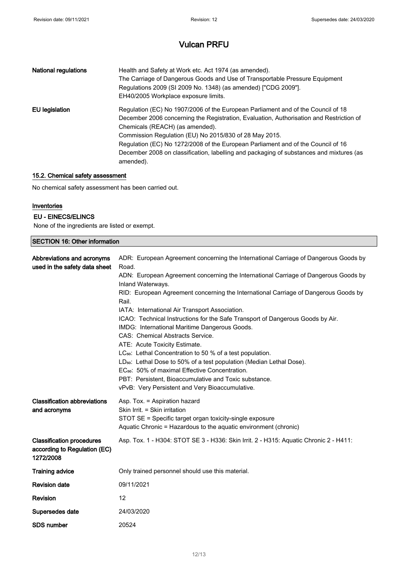| <b>National regulations</b> | Health and Safety at Work etc. Act 1974 (as amended).<br>The Carriage of Dangerous Goods and Use of Transportable Pressure Equipment<br>Regulations 2009 (SI 2009 No. 1348) (as amended) ["CDG 2009"].<br>EH40/2005 Workplace exposure limits.                                                                                                                                                                                                                       |
|-----------------------------|----------------------------------------------------------------------------------------------------------------------------------------------------------------------------------------------------------------------------------------------------------------------------------------------------------------------------------------------------------------------------------------------------------------------------------------------------------------------|
| EU legislation              | Regulation (EC) No 1907/2006 of the European Parliament and of the Council of 18<br>December 2006 concerning the Registration, Evaluation, Authorisation and Restriction of<br>Chemicals (REACH) (as amended).<br>Commission Regulation (EU) No 2015/830 of 28 May 2015.<br>Regulation (EC) No 1272/2008 of the European Parliament and of the Council of 16<br>December 2008 on classification, labelling and packaging of substances and mixtures (as<br>amended). |

### 15.2. Chemical safety assessment

No chemical safety assessment has been carried out.

#### Inventories

### EU - EINECS/ELINCS

None of the ingredients are listed or exempt.

| <b>SECTION 16: Other information</b>                                          |                                                                                                                                                                                                                                                                                                                                                                                                                                                                                                                                                                                                                                                                                                                                                                                                                                                                                                           |
|-------------------------------------------------------------------------------|-----------------------------------------------------------------------------------------------------------------------------------------------------------------------------------------------------------------------------------------------------------------------------------------------------------------------------------------------------------------------------------------------------------------------------------------------------------------------------------------------------------------------------------------------------------------------------------------------------------------------------------------------------------------------------------------------------------------------------------------------------------------------------------------------------------------------------------------------------------------------------------------------------------|
| Abbreviations and acronyms<br>used in the safety data sheet                   | ADR: European Agreement concerning the International Carriage of Dangerous Goods by<br>Road.<br>ADN: European Agreement concerning the International Carriage of Dangerous Goods by<br>Inland Waterways.<br>RID: European Agreement concerning the International Carriage of Dangerous Goods by<br>Rail.<br>IATA: International Air Transport Association.<br>ICAO: Technical Instructions for the Safe Transport of Dangerous Goods by Air.<br>IMDG: International Maritime Dangerous Goods.<br>CAS: Chemical Abstracts Service.<br>ATE: Acute Toxicity Estimate.<br>LC <sub>50</sub> : Lethal Concentration to 50 % of a test population.<br>LD <sub>50</sub> : Lethal Dose to 50% of a test population (Median Lethal Dose).<br>EC <sub>50</sub> : 50% of maximal Effective Concentration.<br>PBT: Persistent, Bioaccumulative and Toxic substance.<br>vPvB: Very Persistent and Very Bioaccumulative. |
| <b>Classification abbreviations</b><br>and acronyms                           | Asp. Tox. = Aspiration hazard<br>Skin Irrit. = Skin irritation<br>STOT SE = Specific target organ toxicity-single exposure<br>Aquatic Chronic = Hazardous to the aquatic environment (chronic)                                                                                                                                                                                                                                                                                                                                                                                                                                                                                                                                                                                                                                                                                                            |
| <b>Classification procedures</b><br>according to Regulation (EC)<br>1272/2008 | Asp. Tox. 1 - H304: STOT SE 3 - H336: Skin Irrit. 2 - H315: Aquatic Chronic 2 - H411:                                                                                                                                                                                                                                                                                                                                                                                                                                                                                                                                                                                                                                                                                                                                                                                                                     |
| <b>Training advice</b>                                                        | Only trained personnel should use this material.                                                                                                                                                                                                                                                                                                                                                                                                                                                                                                                                                                                                                                                                                                                                                                                                                                                          |
| <b>Revision date</b>                                                          | 09/11/2021                                                                                                                                                                                                                                                                                                                                                                                                                                                                                                                                                                                                                                                                                                                                                                                                                                                                                                |
| Revision                                                                      | 12                                                                                                                                                                                                                                                                                                                                                                                                                                                                                                                                                                                                                                                                                                                                                                                                                                                                                                        |
| Supersedes date                                                               | 24/03/2020                                                                                                                                                                                                                                                                                                                                                                                                                                                                                                                                                                                                                                                                                                                                                                                                                                                                                                |
| <b>SDS number</b>                                                             | 20524                                                                                                                                                                                                                                                                                                                                                                                                                                                                                                                                                                                                                                                                                                                                                                                                                                                                                                     |